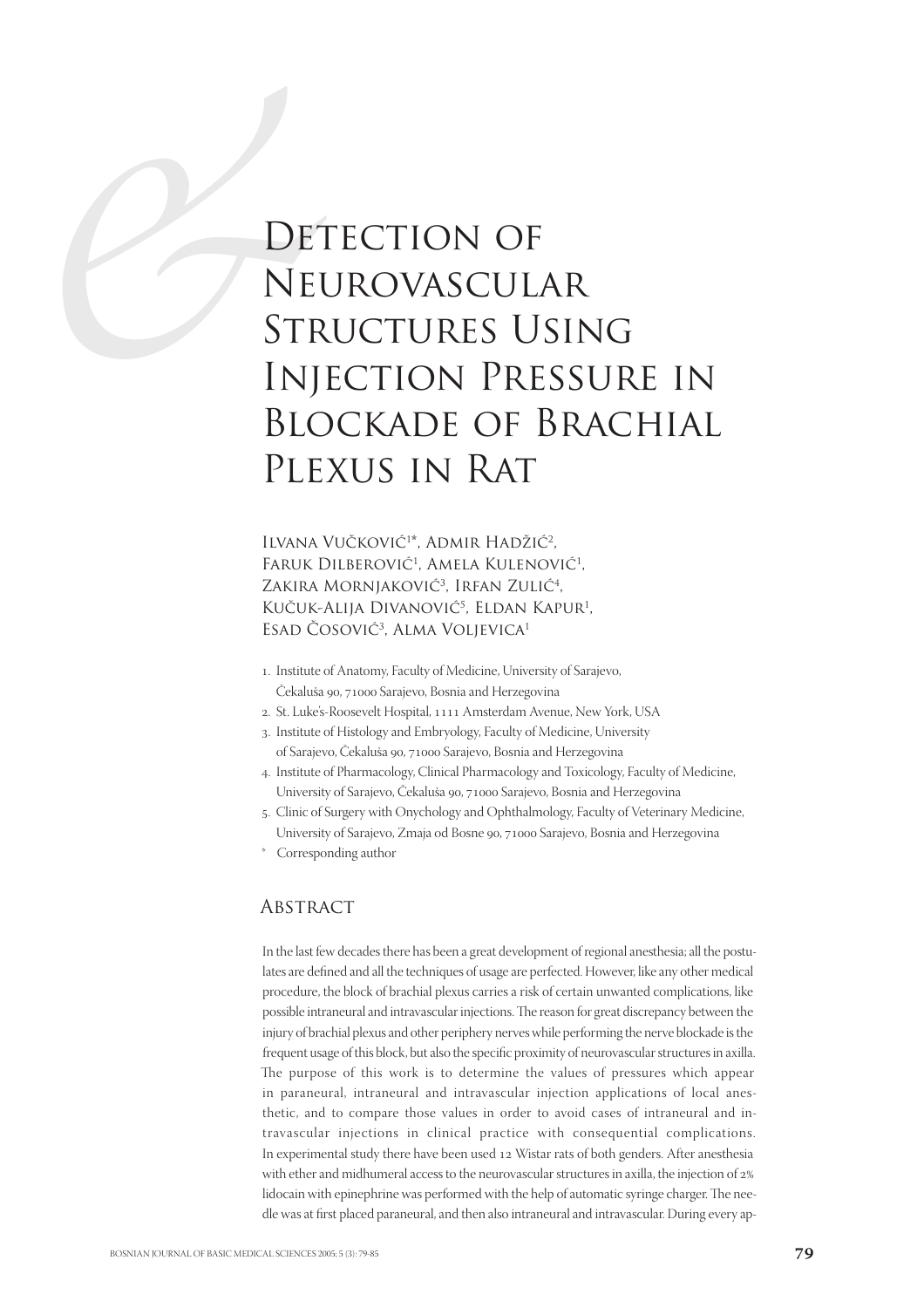# **DET NET STRUSHED** DETECTION OF Neurovascular Structures Using Injection Pressure in Blockade of Brachial Plexus in Rat

ILVANA VUČKOVIĆ<sup>1\*</sup>, ADMIR HADŽIĆ<sup>2</sup>, FARUK DILBEROVIĆ<sup>1</sup>, AMELA KULENOVIĆ<sup>1</sup>, ZAKIRA MORNJAKOVIĆ<sup>3</sup>, IRFAN ZULIĆ<sup>4</sup>, Kučuk-Alija Divanović<sup>5</sup>, Eldan Kapur<sup>1</sup>, Esad Čosović3 , Alma Voljevica1

- . Institute of Anatomy, Faculty of Medicine, University of Sarajevo, Čekaluša 90, 71000 Sarajevo, Bosnia and Herzegovina
- 2. St. Luke's-Roosevelt Hospital, 1111 Amsterdam Avenue, New York, USA
- . Institute of Histology and Embryology, Faculty of Medicine, University of Sarajevo, Čekaluša 90, 71000 Sarajevo, Bosnia and Herzegovina
- . Institute of Pharmacology, Clinical Pharmacology and Toxicology, Faculty of Medicine, University of Sarajevo, Čekaluša 90, 71000 Sarajevo, Bosnia and Herzegovina
- . Clinic of Surgery with Onychology and Ophthalmology, Faculty of Veterinary Medicine, University of Sarajevo, Zmaja od Bosne 90, 71000 Sarajevo, Bosnia and Herzegovina
- Corresponding author

#### **ABSTRACT**

In the last few decades there has been a great development of regional anesthesia; all the postulates are defined and all the techniques of usage are perfected. However, like any other medical procedure, the block of brachial plexus carries a risk of certain unwanted complications, like possible intraneural and intravascular injections. The reason for great discrepancy between the injury of brachial plexus and other periphery nerves while performing the nerve blockade is the frequent usage of this block, but also the specific proximity of neurovascular structures in axilla. The purpose of this work is to determine the values of pressures which appear in paraneural, intraneural and intravascular injection applications of local anesthetic, and to compare those values in order to avoid cases of intraneural and intravascular injections in clinical practice with consequential complications. In experimental study there have been used 12 Wistar rats of both genders. After anesthesia with ether and midhumeral access to the neurovascular structures in axilla, the injection of 2% lidocain with epinephrine was performed with the help of automatic syringe charger. The needle was at first placed paraneural, and then also intraneural and intravascular. During every ap-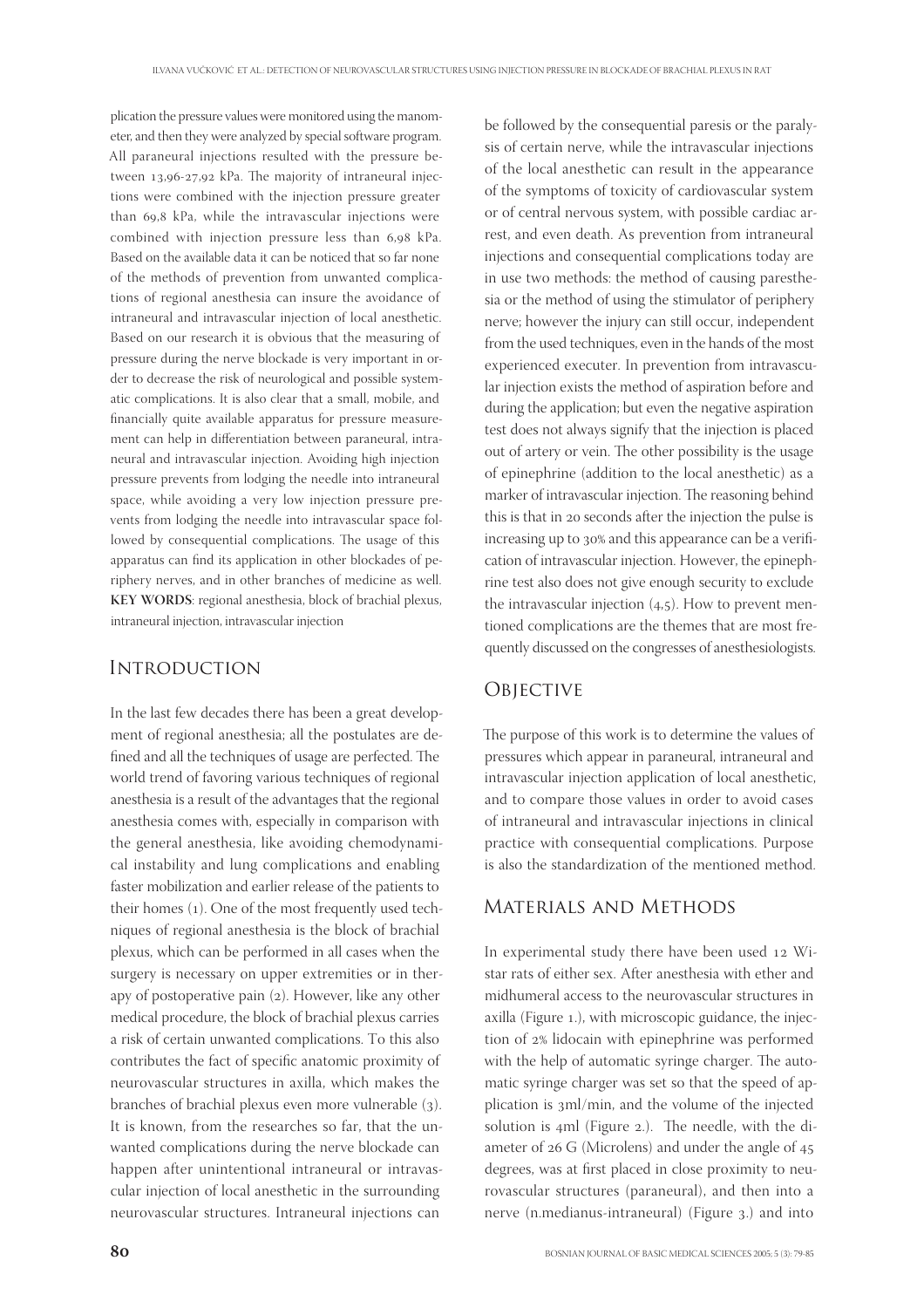plication the pressure values were monitored using the manometer, and then they were analyzed by special software program. All paraneural injections resulted with the pressure between 13,96-27,92 kPa. The majority of intraneural injections were combined with the injection pressure greater than 69.8 kPa, while the intravascular injections were combined with injection pressure less than 6,98 kPa. Based on the available data it can be noticed that so far none of the methods of prevention from unwanted complications of regional anesthesia can insure the avoidance of intraneural and intravascular injection of local anesthetic. Based on our research it is obvious that the measuring of pressure during the nerve blockade is very important in order to decrease the risk of neurological and possible systematic complications. It is also clear that a small, mobile, and financially quite available apparatus for pressure measurement can help in differentiation between paraneural, intraneural and intravascular injection. Avoiding high injection pressure prevents from lodging the needle into intraneural space, while avoiding a very low injection pressure prevents from lodging the needle into intravascular space followed by consequential complications. The usage of this apparatus can find its application in other blockades of periphery nerves, and in other branches of medicine as well. **KEY WORDS**: regional anesthesia, block of brachial plexus, intraneural injection, intravascular injection

#### **INTRODUCTION**

In the last few decades there has been a great development of regional anesthesia; all the postulates are defined and all the techniques of usage are perfected. The world trend of favoring various techniques of regional anesthesia is a result of the advantages that the regional anesthesia comes with, especially in comparison with the general anesthesia, like avoiding chemodynamical instability and lung complications and enabling faster mobilization and earlier release of the patients to their homes (1). One of the most frequently used techniques of regional anesthesia is the block of brachial plexus, which can be performed in all cases when the surgery is necessary on upper extremities or in therapy of postoperative pain  $(2)$ . However, like any other medical procedure, the block of brachial plexus carries a risk of certain unwanted complications. To this also contributes the fact of specific anatomic proximity of neurovascular structures in axilla, which makes the branches of brachial plexus even more vulnerable (3). It is known, from the researches so far, that the unwanted complications during the nerve blockade can happen after unintentional intraneural or intravascular injection of local anesthetic in the surrounding neurovascular structures. Intraneural injections can

be followed by the consequential paresis or the paralysis of certain nerve, while the intravascular injections of the local anesthetic can result in the appearance of the symptoms of toxicity of cardiovascular system or of central nervous system, with possible cardiac arrest, and even death. As prevention from intraneural injections and consequential complications today are in use two methods: the method of causing paresthesia or the method of using the stimulator of periphery nerve; however the injury can still occur, independent from the used techniques, even in the hands of the most experienced executer. In prevention from intravascular injection exists the method of aspiration before and during the application; but even the negative aspiration test does not always signify that the injection is placed out of artery or vein. The other possibility is the usage of epinephrine (addition to the local anesthetic) as a marker of intravascular injection. The reasoning behind this is that in 20 seconds after the injection the pulse is increasing up to 30% and this appearance can be a verification of intravascular injection. However, the epinephrine test also does not give enough security to exclude the intravascular injection  $(4,5)$ . How to prevent mentioned complications are the themes that are most frequently discussed on the congresses of anesthesiologists.

## **OBJECTIVE**

The purpose of this work is to determine the values of pressures which appear in paraneural, intraneural and intravascular injection application of local anesthetic, and to compare those values in order to avoid cases of intraneural and intravascular injections in clinical practice with consequential complications. Purpose is also the standardization of the mentioned method.

#### Materials and Methods

In experimental study there have been used 12 Wistar rats of either sex. After anesthesia with ether and midhumeral access to the neurovascular structures in axilla (Figure 1.), with microscopic guidance, the injection of 2% lidocain with epinephrine was performed with the help of automatic syringe charger. The automatic syringe charger was set so that the speed of application is  $3ml/min$ , and the volume of the injected solution is 4ml (Figure 2.). The needle, with the diameter of  $26$  G (Microlens) and under the angle of  $45$ degrees, was at first placed in close proximity to neurovascular structures (paraneural), and then into a nerve (n.medianus-intraneural) (Figure 3.) and into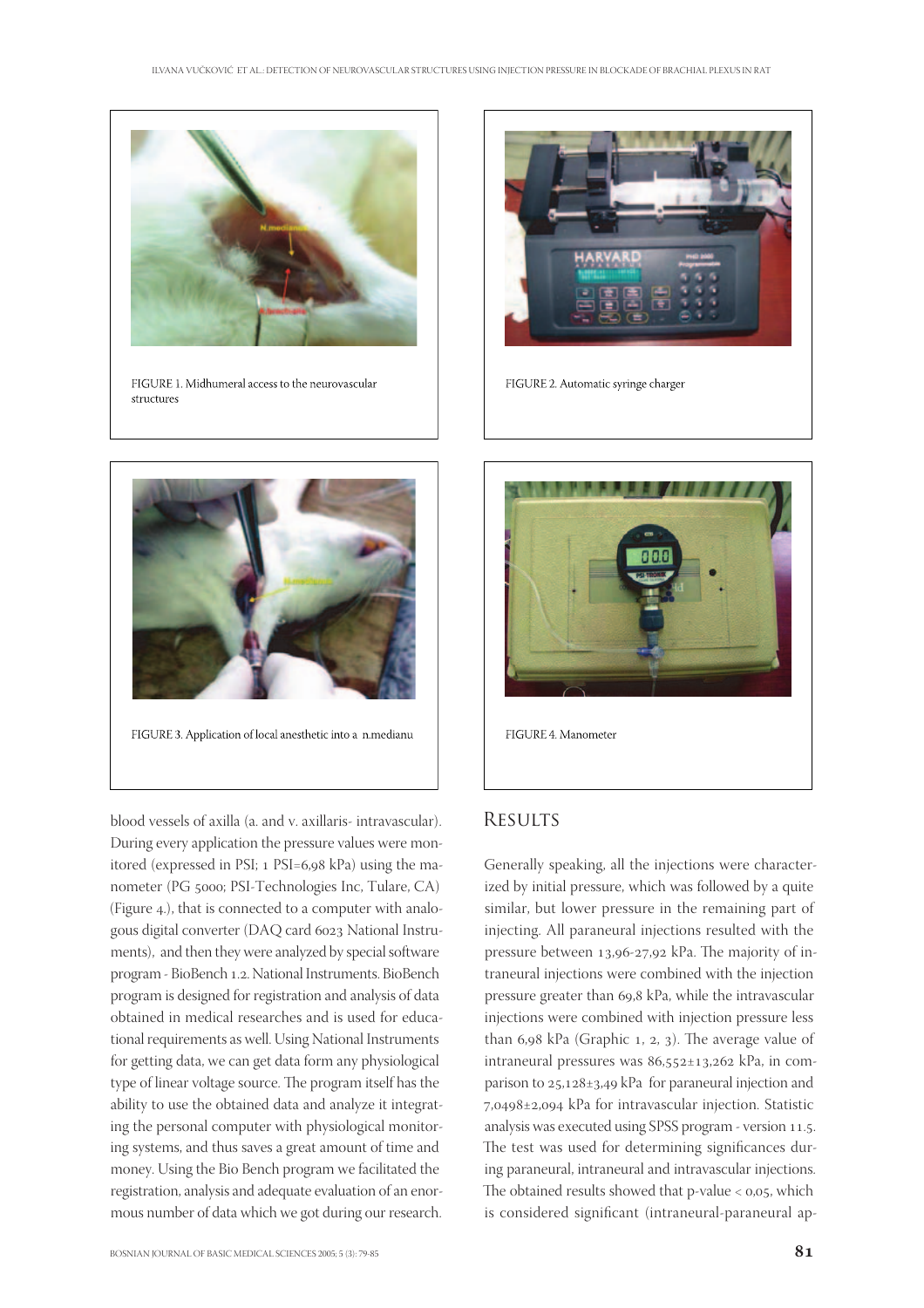

FIGURE 1. Midhumeral access to the neurovascular structures



FIGURE 2. Automatic syringe charger



blood vessels of axilla (a. and v. axillaris- intravascular). During every application the pressure values were monitored (expressed in PSI; 1 PSI=6,98 kPa) using the manometer (PG 5000; PSI-Technologies Inc, Tulare, CA) (Figure 4.), that is connected to a computer with analogous digital converter (DAQ card 6023 National Instruments), and then they were analyzed by special software program - BioBench 1.2. National Instruments. BioBench program is designed for registration and analysis of data obtained in medical researches and is used for educational requirements as well. Using National Instruments for getting data, we can get data form any physiological type of linear voltage source. The program itself has the ability to use the obtained data and analyze it integrating the personal computer with physiological monitoring systems, and thus saves a great amount of time and money. Using the Bio Bench program we facilitated the registration, analysis and adequate evaluation of an enormous number of data which we got during our research.



## **RESULTS**

Generally speaking, all the injections were characterized by initial pressure, which was followed by a quite similar, but lower pressure in the remaining part of injecting. All paraneural injections resulted with the pressure between 13,96-27,92 kPa. The majority of intraneural injections were combined with the injection pressure greater than 69,8 kPa, while the intravascular injections were combined with injection pressure less than  $6.98$  kPa (Graphic 1, 2, 3). The average value of intraneural pressures was  $86,552 \pm 13,262$  kPa, in comparison to  $25, 128 \pm 3, 49$  kPa for paraneural injection and ,±, kPa for intravascular injection. Statistic analysis was executed using SPSS program - version 11.5. The test was used for determining significances during paraneural, intraneural and intravascular injections. The obtained results showed that p-value  $<$  0,05, which is considered significant (intraneural-paraneural ap-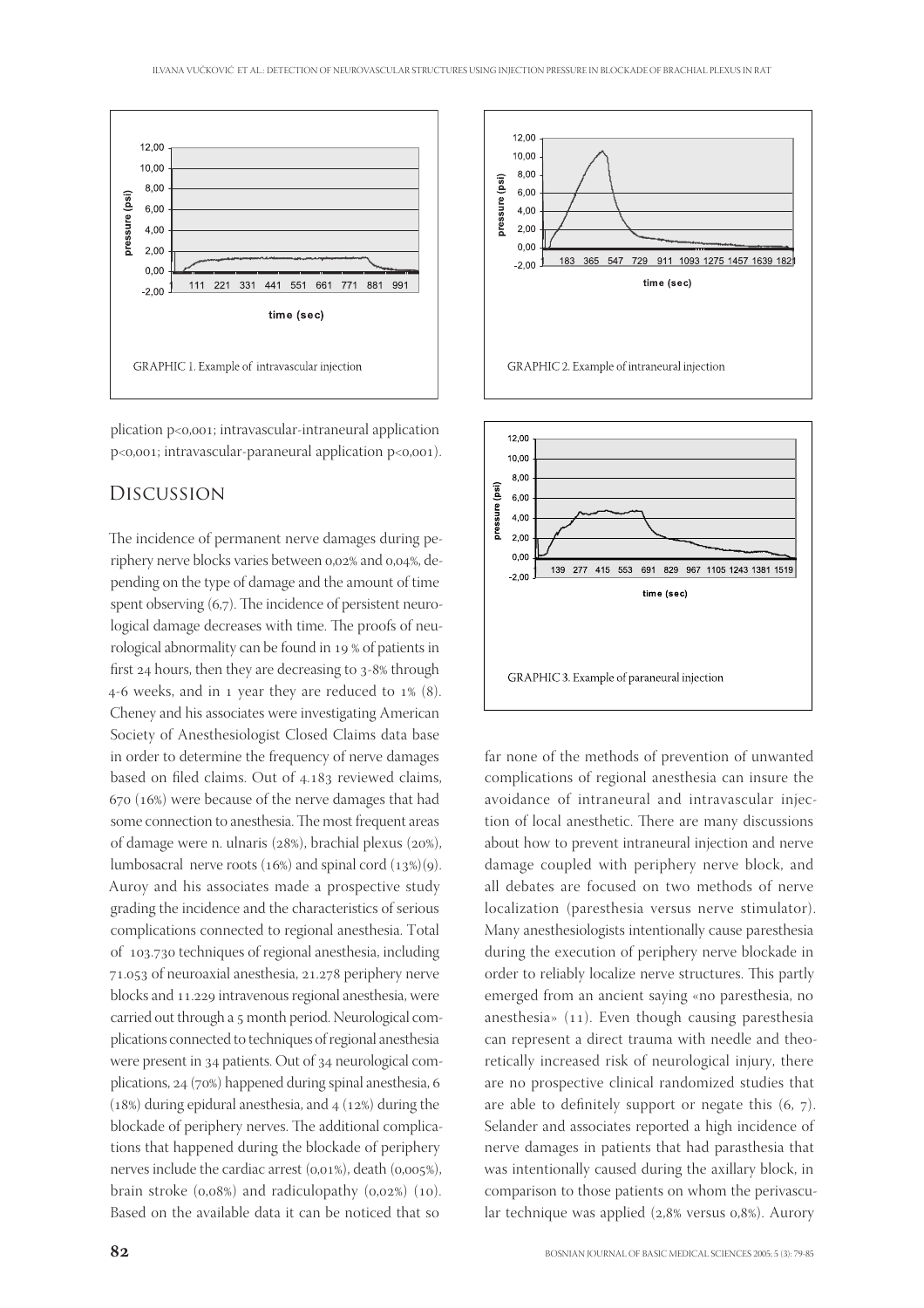

plication  $p<0,001$ ; intravascular-intraneural application p<0,001; intravascular-paraneural application p<0,001).

#### Discussion

The incidence of permanent nerve damages during periphery nerve blocks varies between 0,02% and 0,04%, depending on the type of damage and the amount of time spent observing  $(6,7)$ . The incidence of persistent neurological damage decreases with time. The proofs of neurological abnormality can be found in 19 % of patients in first  $24$  hours, then they are decreasing to  $3-8\%$  through 4-6 weeks, and in 1 year they are reduced to  $1\%$  (8). Cheney and his associates were investigating American Society of Anesthesiologist Closed Claims data base in order to determine the frequency of nerve damages based on filed claims. Out of 4.183 reviewed claims,  $(670)(16%)$  were because of the nerve damages that had some connection to anesthesia. The most frequent areas of damage were n. ulnaris ( $28\%$ ), brachial plexus ( $20\%$ ), lumbosacral nerve roots (16%) and spinal cord (13%)(9). Auroy and his associates made a prospective study grading the incidence and the characteristics of serious complications connected to regional anesthesia. Total of 103.730 techniques of regional anesthesia, including 71.053 of neuroaxial anesthesia, 21.278 periphery nerve blocks and 11.229 intravenous regional anesthesia, were carried out through a 5 month period. Neurological complications connected to techniques of regional anesthesia were present in 34 patients. Out of 34 neurological complications,  $24$  (70%) happened during spinal anesthesia, 6 (18%) during epidural anesthesia, and  $4(12%)$  during the blockade of periphery nerves. The additional complications that happened during the blockade of periphery nerves include the cardiac arrest  $(0.01\%)$ , death  $(0.005\%)$ , brain stroke  $(0.08\%)$  and radiculopathy  $(0.02\%)$   $(10)$ . Based on the available data it can be noticed that so





far none of the methods of prevention of unwanted complications of regional anesthesia can insure the avoidance of intraneural and intravascular injection of local anesthetic. There are many discussions about how to prevent intraneural injection and nerve damage coupled with periphery nerve block, and all debates are focused on two methods of nerve localization (paresthesia versus nerve stimulator). Many anesthesiologists intentionally cause paresthesia during the execution of periphery nerve blockade in order to reliably localize nerve structures. This partly emerged from an ancient saying «no paresthesia, no anesthesia»  $(11)$ . Even though causing paresthesia can represent a direct trauma with needle and theoretically increased risk of neurological injury, there are no prospective clinical randomized studies that are able to definitely support or negate this  $(6, 7)$ . Selander and associates reported a high incidence of nerve damages in patients that had parasthesia that was intentionally caused during the axillary block, in comparison to those patients on whom the perivascular technique was applied (2,8% versus 0,8%). Aurory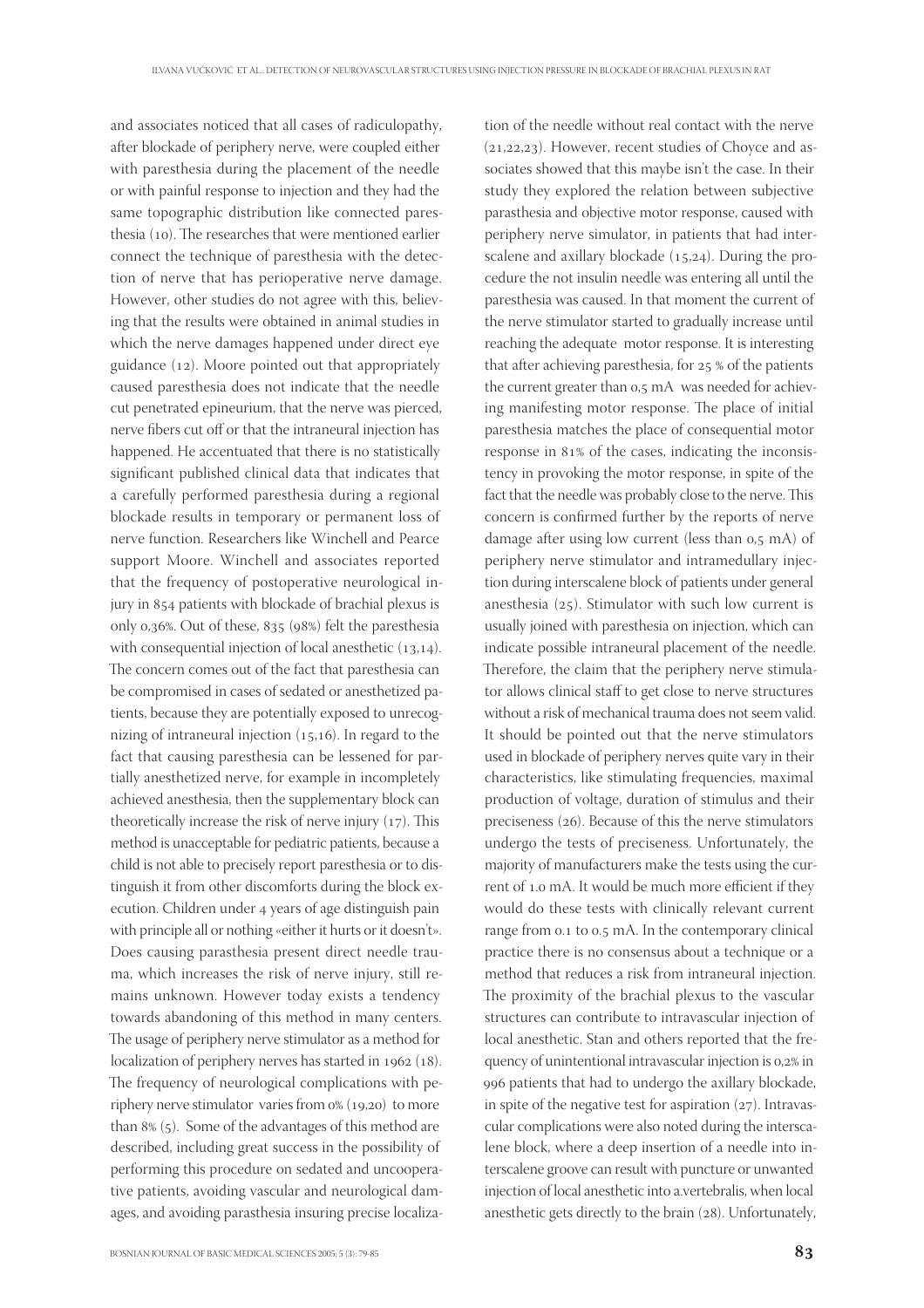and associates noticed that all cases of radiculopathy, after blockade of periphery nerve, were coupled either with paresthesia during the placement of the needle or with painful response to injection and they had the same topographic distribution like connected paresthesia (10). The researches that were mentioned earlier connect the technique of paresthesia with the detection of nerve that has perioperative nerve damage. However, other studies do not agree with this, believing that the results were obtained in animal studies in which the nerve damages happened under direct eye guidance  $(12)$ . Moore pointed out that appropriately caused paresthesia does not indicate that the needle cut penetrated epineurium, that the nerve was pierced, nerve fibers cut off or that the intraneural injection has happened. He accentuated that there is no statistically significant published clinical data that indicates that a carefully performed paresthesia during a regional blockade results in temporary or permanent loss of nerve function. Researchers like Winchell and Pearce support Moore. Winchell and associates reported that the frequency of postoperative neurological injury in 854 patients with blockade of brachial plexus is only  $0.36\%$ . Out of these,  $835$  ( $98\%$ ) felt the paresthesia with consequential injection of local anesthetic  $(13,14)$ . The concern comes out of the fact that paresthesia can be compromised in cases of sedated or anesthetized patients, because they are potentially exposed to unrecognizing of intraneural injection  $(15,16)$ . In regard to the fact that causing paresthesia can be lessened for partially anesthetized nerve, for example in incompletely achieved anesthesia, then the supplementary block can theoretically increase the risk of nerve injury  $(17)$ . This method is unacceptable for pediatric patients, because a child is not able to precisely report paresthesia or to distinguish it from other discomforts during the block execution. Children under 4 years of age distinguish pain with principle all or nothing «either it hurts or it doesn't». Does causing parasthesia present direct needle trauma, which increases the risk of nerve injury, still remains unknown. However today exists a tendency towards abandoning of this method in many centers. The usage of periphery nerve stimulator as a method for localization of periphery nerves has started in  $1962$  ( $18$ ). The frequency of neurological complications with periphery nerve stimulator varies from  $0\%$  (19,20) to more than  $8\%$  (5). Some of the advantages of this method are described, including great success in the possibility of performing this procedure on sedated and uncooperative patients, avoiding vascular and neurological damages, and avoiding parasthesia insuring precise localization of the needle without real contact with the nerve  $(21,22,23)$ . However, recent studies of Choyce and associates showed that this maybe isn't the case. In their study they explored the relation between subjective parasthesia and objective motor response, caused with periphery nerve simulator, in patients that had interscalene and axillary blockade  $(15,24)$ . During the procedure the not insulin needle was entering all until the paresthesia was caused. In that moment the current of the nerve stimulator started to gradually increase until reaching the adequate motor response. It is interesting that after achieving paresthesia, for  $25%$  % of the patients the current greater than 0,5 mA was needed for achieving manifesting motor response. The place of initial paresthesia matches the place of consequential motor response in 81% of the cases, indicating the inconsistency in provoking the motor response, in spite of the fact that the needle was probably close to the nerve. This concern is confirmed further by the reports of nerve damage after using low current (less than  $0.5$  mA) of periphery nerve stimulator and intramedullary injection during interscalene block of patients under general anesthesia  $(25)$ . Stimulator with such low current is usually joined with paresthesia on injection, which can indicate possible intraneural placement of the needle. Therefore, the claim that the periphery nerve stimulator allows clinical staff to get close to nerve structures without a risk of mechanical trauma does not seem valid. It should be pointed out that the nerve stimulators used in blockade of periphery nerves quite vary in their characteristics, like stimulating frequencies, maximal production of voltage, duration of stimulus and their preciseness  $(26)$ . Because of this the nerve stimulators undergo the tests of preciseness. Unfortunately, the majority of manufacturers make the tests using the current of 1.0 mA. It would be much more efficient if they would do these tests with clinically relevant current range from 0.1 to 0.5 mA. In the contemporary clinical practice there is no consensus about a technique or a method that reduces a risk from intraneural injection. The proximity of the brachial plexus to the vascular structures can contribute to intravascular injection of local anesthetic. Stan and others reported that the frequency of unintentional intravascular injection is 0,2% in patients that had to undergo the axillary blockade, in spite of the negative test for aspiration  $(27)$ . Intravascular complications were also noted during the interscalene block, where a deep insertion of a needle into interscalene groove can result with puncture or unwanted injection of local anesthetic into a.vertebralis, when local anesthetic gets directly to the brain  $(28)$ . Unfortunately,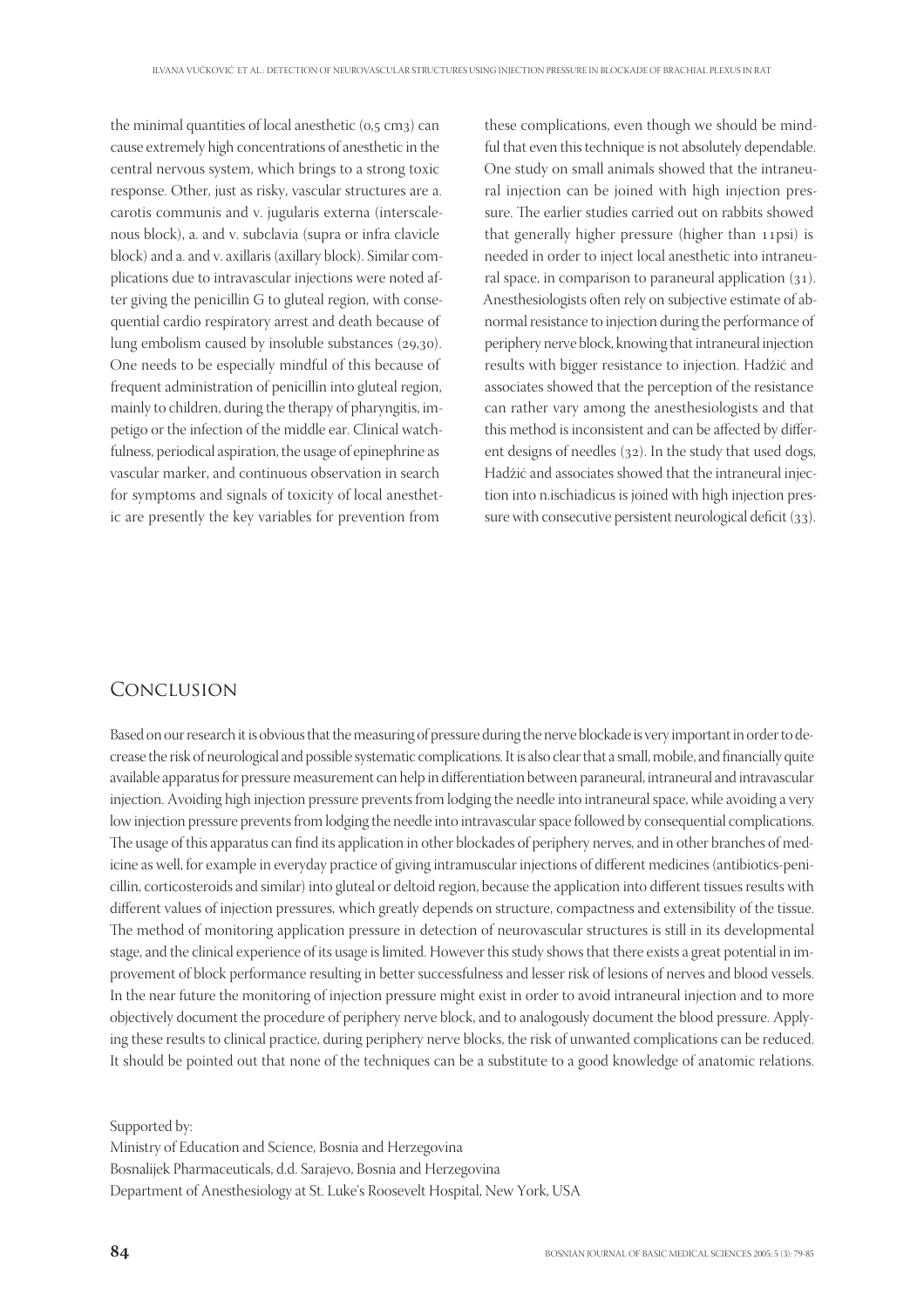the minimal quantities of local anesthetic  $(o, 5 \text{ cm}_3)$  can cause extremely high concentrations of anesthetic in the central nervous system, which brings to a strong toxic response. Other, just as risky, vascular structures are a. carotis communis and v. jugularis externa (interscalenous block), a. and v. subclavia (supra or infra clavicle block) and a. and v. axillaris (axillary block). Similar complications due to intravascular injections were noted after giving the penicillin G to gluteal region, with consequential cardio respiratory arrest and death because of lung embolism caused by insoluble substances  $(29,30)$ . One needs to be especially mindful of this because of frequent administration of penicillin into gluteal region, mainly to children, during the therapy of pharyngitis, impetigo or the infection of the middle ear. Clinical watchfulness, periodical aspiration, the usage of epinephrine as vascular marker, and continuous observation in search for symptoms and signals of toxicity of local anesthetic are presently the key variables for prevention from

these complications, even though we should be mindful that even this technique is not absolutely dependable. One study on small animals showed that the intraneural injection can be joined with high injection pressure. The earlier studies carried out on rabbits showed that generally higher pressure (higher than  $11psi$ ) is needed in order to inject local anesthetic into intraneural space, in comparison to paraneural application  $(31)$ . Anesthesiologists often rely on subjective estimate of abnormal resistance to injection during the performance of periphery nerve block, knowing that intraneural injection results with bigger resistance to injection. Hadžić and associates showed that the perception of the resistance can rather vary among the anesthesiologists and that this method is inconsistent and can be affected by different designs of needles  $(32)$ . In the study that used dogs, Hadžić and associates showed that the intraneural injection into n.ischiadicus is joined with high injection pressure with consecutive persistent neurological deficit  $(33)$ .

## Conclusion

Based on our research it is obvious that the measuring of pressure during the nerve blockade is very important in order to decrease the risk of neurological and possible systematic complications. It is also clear that a small, mobile, and financially quite available apparatus for pressure measurement can help in differentiation between paraneural, intraneural and intravascular injection. Avoiding high injection pressure prevents from lodging the needle into intraneural space, while avoiding a very low injection pressure prevents from lodging the needle into intravascular space followed by consequential complications. The usage of this apparatus can find its application in other blockades of periphery nerves, and in other branches of medicine as well, for example in everyday practice of giving intramuscular injections of different medicines (antibiotics-penicillin, corticosteroids and similar) into gluteal or deltoid region, because the application into different tissues results with different values of injection pressures, which greatly depends on structure, compactness and extensibility of the tissue. The method of monitoring application pressure in detection of neurovascular structures is still in its developmental stage, and the clinical experience of its usage is limited. However this study shows that there exists a great potential in improvement of block performance resulting in better successfulness and lesser risk of lesions of nerves and blood vessels. In the near future the monitoring of injection pressure might exist in order to avoid intraneural injection and to more objectively document the procedure of periphery nerve block, and to analogously document the blood pressure. Applying these results to clinical practice, during periphery nerve blocks, the risk of unwanted complications can be reduced. It should be pointed out that none of the techniques can be a substitute to a good knowledge of anatomic relations.

Supported by: Ministry of Education and Science, Bosnia and Herzegovina Bosnalijek Pharmaceuticals, d.d. Sarajevo, Bosnia and Herzegovina Department of Anesthesiology at St. Luke's Roosevelt Hospital, New York, USA